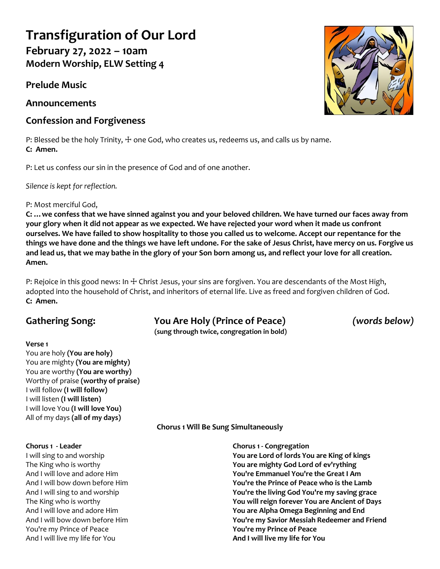# **Transfiguration of Our Lord**

**February 27, 2022 – 10am Modern Worship, ELW Setting 4**

**Prelude Music**

**Announcements**

### **Confession and Forgiveness**

P: Blessed be the holy Trinity,  $\pm$  one God, who creates us, redeems us, and calls us by name. **C: Amen.**

P: Let us confess our sin in the presence of God and of one another.

*Silence is kept for reflection.*

P: Most merciful God,

**C: …we confess that we have sinned against you and your beloved children. We have turned our faces away from your glory when it did not appear as we expected. We have rejected your word when it made us confront ourselves. We have failed to show hospitality to those you called us to welcome. Accept our repentance for the things we have done and the things we have left undone. For the sake of Jesus Christ, have mercy on us. Forgive us and lead us, that we may bathe in the glory of your Son born among us, and reflect your love for all creation. Amen.**

P: Rejoice in this good news: In + Christ Jesus, your sins are forgiven. You are descendants of the Most High, adopted into the household of Christ, and inheritors of eternal life. Live as freed and forgiven children of God. **C: Amen.**

## **Gathering Song: You Are Holy (Prince of Peace)** *(words below)*

**(sung through twice, congregation in bold)**

#### **Verse 1**

You are holy **(You are holy)** You are mighty **(You are mighty)** You are worthy **(You are worthy)** Worthy of praise **(worthy of praise)** I will follow **(I will follow)** I will listen **(I will listen)** I will love You **(I will love You)** All of my days **(all of my days)**

### **Chorus 1 - Leader**

I will sing to and worship The King who is worthy And I will love and adore Him And I will bow down before Him And I will sing to and worship The King who is worthy And I will love and adore Him And I will bow down before Him You're my Prince of Peace And I will live my life for You

**Chorus 1 Will Be Sung Simultaneously**

**Chorus 1 - Congregation**

**You're my Prince of Peace And I will live my life for You**

**You are Lord of lords You are King of kings You are mighty God Lord of ev'rything You're Emmanuel You're the Great I Am You're the Prince of Peace who is the Lamb You're the living God You're my saving grace You will reign forever You are Ancient of Days You are Alpha Omega Beginning and End**

**You're my Savior Messiah Redeemer and Friend**

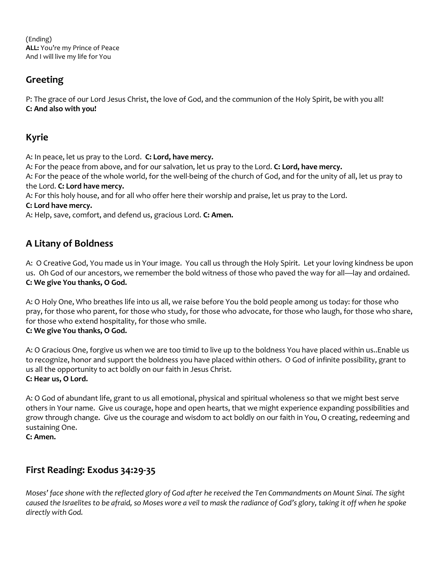(Ending) **ALL:** You're my Prince of Peace And I will live my life for You

## **Greeting**

P: The grace of our Lord Jesus Christ, the love of God, and the communion of the Holy Spirit, be with you all! **C: And also with you!**

### **Kyrie**

A: In peace, let us pray to the Lord. **C: Lord, have mercy.**

A: For the peace from above, and for our salvation, let us pray to the Lord. **C: Lord, have mercy.**

A: For the peace of the whole world, for the well-being of the church of God, and for the unity of all, let us pray to the Lord. **C: Lord have mercy.**

A: For this holy house, and for all who offer here their worship and praise, let us pray to the Lord.

#### **C: Lord have mercy.**

A: Help, save, comfort, and defend us, gracious Lord. **C: Amen.**

### **A Litany of Boldness**

A: O Creative God, You made us in Your image. You call us through the Holy Spirit. Let your loving kindness be upon us. Oh God of our ancestors, we remember the bold witness of those who paved the way for all—lay and ordained. **C: We give You thanks, O God.**

A: O Holy One, Who breathes life into us all, we raise before You the bold people among us today: for those who pray, for those who parent, for those who study, for those who advocate, for those who laugh, for those who share, for those who extend hospitality, for those who smile.

#### **C: We give You thanks, O God.**

A: O Gracious One, forgive us when we are too timid to live up to the boldness You have placed within us..Enable us to recognize, honor and support the boldness you have placed within others. O God of infinite possibility, grant to us all the opportunity to act boldly on our faith in Jesus Christ. **C: Hear us, O Lord.**

A: O God of abundant life, grant to us all emotional, physical and spiritual wholeness so that we might best serve others in Your name. Give us courage, hope and open hearts, that we might experience expanding possibilities and grow through change. Give us the courage and wisdom to act boldly on our faith in You, O creating, redeeming and sustaining One.

**C: Amen.**

### **First Reading: Exodus 34:29-35**

*Moses' face shone with the reflected glory of God after he received the Ten Commandments on Mount Sinai. The sight caused the Israelites to be afraid, so Moses wore a veil to mask the radiance of God's glory, taking it off when he spoke directly with God.*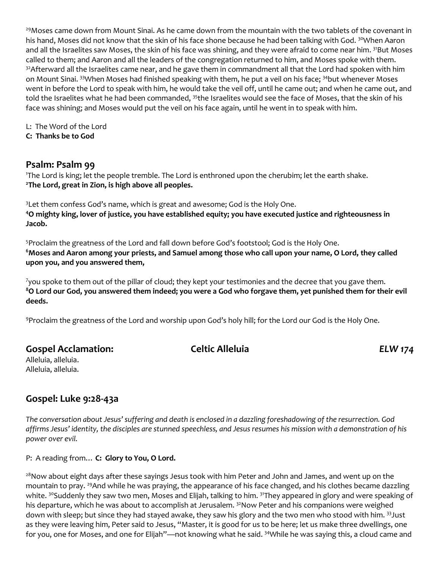<sup>29</sup>Moses came down from Mount Sinai. As he came down from the mountain with the two tablets of the covenant in his hand, Moses did not know that the skin of his face shone because he had been talking with God. <sup>30</sup>When Aaron and all the Israelites saw Moses, the skin of his face was shining, and they were afraid to come near him. <sup>31</sup>But Moses called to them; and Aaron and all the leaders of the congregation returned to him, and Moses spoke with them.  $32$ Afterward all the Israelites came near, and he gave them in commandment all that the Lord had spoken with him on Mount Sinai. <sup>33</sup>When Moses had finished speaking with them, he put a veil on his face; <sup>34</sup>but whenever Moses went in before the Lord to speak with him, he would take the veil off, until he came out; and when he came out, and told the Israelites what he had been commanded, <sup>35</sup>the Israelites would see the face of Moses, that the skin of his face was shining; and Moses would put the veil on his face again, until he went in to speak with him.

L: The Word of the Lord

**C: Thanks be to God**

### **Psalm: Psalm 99**

<sup>1</sup>The Lord is king; let the people tremble. The Lord is enthroned upon the cherubim; let the earth shake. **<sup>2</sup>The Lord, great in Zion, is high above all peoples.**

<sup>3</sup>Let them confess God's name, which is great and awesome; God is the Holy One. **<sup>4</sup>O mighty king, lover of justice, you have established equity; you have executed justice and righteousness in Jacob.**

<sup>5</sup>Proclaim the greatness of the Lord and fall down before God's footstool; God is the Holy One. **<sup>6</sup>Moses and Aaron among your priests, and Samuel among those who call upon your name, O Lord, they called upon you, and you answered them,**

 $^7$ you spoke to them out of the pillar of cloud; they kept your testimonies and the decree that you gave them. **<sup>8</sup>O Lord our God, you answered them indeed; you were a God who forgave them, yet punished them for their evil deeds.**

<sup>9</sup>Proclaim the greatness of the Lord and worship upon God's holy hill; for the Lord our God is the Holy One.

| <b>Gospel Acclamation:</b> |  |
|----------------------------|--|
|                            |  |

**Gospel Acclamation: Celtic Alleluia** *ELW 174*

Alleluia, alleluia. Alleluia, alleluia.

### **Gospel: Luke 9:28-43a**

*The conversation about Jesus' suffering and death is enclosed in a dazzling foreshadowing of the resurrection. God affirms Jesus' identity, the disciples are stunned speechless, and Jesus resumes his mission with a demonstration of his power over evil.*

P: A reading from… **C: Glory to You, O Lord.**

<sup>28</sup>Now about eight days after these sayings Jesus took with him Peter and John and James, and went up on the mountain to pray. <sup>29</sup>And while he was praying, the appearance of his face changed, and his clothes became dazzling white. <sup>30</sup>Suddenly they saw two men, Moses and Elijah, talking to him. <sup>31</sup>They appeared in glory and were speaking of his departure, which he was about to accomplish at Jerusalem. <sup>32</sup>Now Peter and his companions were weighed down with sleep; but since they had stayed awake, they saw his glory and the two men who stood with him. 33 Just as they were leaving him, Peter said to Jesus, "Master, it is good for us to be here; let us make three dwellings, one for you, one for Moses, and one for Elijah"—not knowing what he said. 34While he was saying this, a cloud came and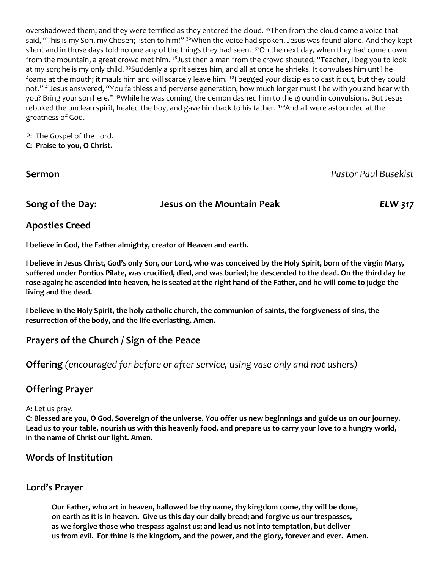overshadowed them; and they were terrified as they entered the cloud. <sup>35</sup>Then from the cloud came a voice that said, "This is my Son, my Chosen; listen to him!" <sup>36</sup>When the voice had spoken, Jesus was found alone. And they kept silent and in those days told no one any of the things they had seen. <sup>37</sup>On the next day, when they had come down from the mountain, a great crowd met him. <sup>38</sup> Just then a man from the crowd shouted, "Teacher, I beg you to look at my son; he is my only child. <sup>39</sup>Suddenly a spirit seizes him, and all at once he shrieks. It convulses him until he foams at the mouth; it mauls him and will scarcely leave him. <sup>40</sup>I begged your disciples to cast it out, but they could not." <sup>41</sup>Jesus answered, "You faithless and perverse generation, how much longer must I be with you and bear with you? Bring your son here." <sup>42</sup>While he was coming, the demon dashed him to the ground in convulsions. But Jesus rebuked the unclean spirit, healed the boy, and gave him back to his father.  $43a$ And all were astounded at the greatness of God.

P: The Gospel of the Lord.

**C: Praise to you, O Christ.**

**Sermon** *Pastor Paul Busekist*

### **Song of the Day: Jesus on the Mountain Peak** *ELW 317*

### **Apostles Creed**

**I believe in God, the Father almighty, creator of Heaven and earth.** 

**I believe in Jesus Christ, God's only Son, our Lord, who was conceived by the Holy Spirit, born of the virgin Mary, suffered under Pontius Pilate, was crucified, died, and was buried; he descended to the dead. On the third day he rose again; he ascended into heaven, he is seated at the right hand of the Father, and he will come to judge the living and the dead.**

**I believe in the Holy Spirit, the holy catholic church, the communion of saints, the forgiveness of sins, the resurrection of the body, and the life everlasting. Amen.**

### **Prayers of the Church / Sign of the Peace**

### **Offering** *(encouraged for before or after service, using vase only and not ushers)*

### **Offering Prayer**

#### A: Let us pray.

**C: Blessed are you, O God, Sovereign of the universe. You offer us new beginnings and guide us on our journey. Lead us to your table, nourish us with this heavenly food, and prepare us to carry your love to a hungry world, in the name of Christ our light. Amen.**

### **Words of Institution**

### **Lord's Prayer**

**Our Father, who art in heaven, hallowed be thy name, thy kingdom come, thy will be done, on earth as it is in heaven. Give us this day our daily bread; and forgive us our trespasses, as we forgive those who trespass against us; and lead us not into temptation, but deliver us from evil. For thine is the kingdom, and the power, and the glory, forever and ever. Amen.**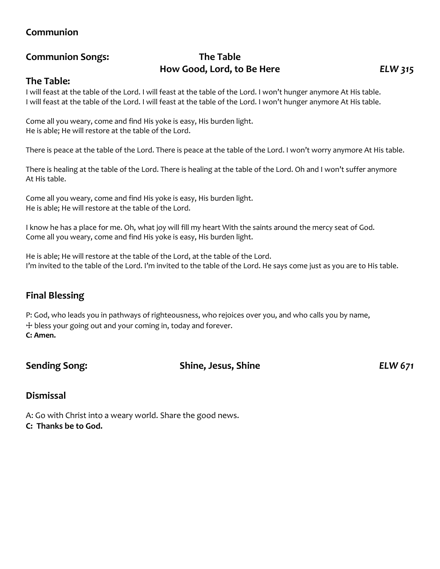### **Communion**

### **Communion Songs: The Table**

# **How Good, Lord, to Be Here** *ELW 315*

### **The Table:**

I will feast at the table of the Lord. I will feast at the table of the Lord. I won't hunger anymore At His table. I will feast at the table of the Lord. I will feast at the table of the Lord. I won't hunger anymore At His table.

Come all you weary, come and find His yoke is easy, His burden light. He is able; He will restore at the table of the Lord.

There is peace at the table of the Lord. There is peace at the table of the Lord. I won't worry anymore At His table.

There is healing at the table of the Lord. There is healing at the table of the Lord. Oh and I won't suffer anymore At His table.

Come all you weary, come and find His yoke is easy, His burden light. He is able; He will restore at the table of the Lord.

I know he has a place for me. Oh, what joy will fill my heart With the saints around the mercy seat of God. Come all you weary, come and find His yoke is easy, His burden light.

He is able; He will restore at the table of the Lord, at the table of the Lord. I'm invited to the table of the Lord. I'm invited to the table of the Lord. He says come just as you are to His table.

### **Final Blessing**

P: God, who leads you in pathways of righteousness, who rejoices over you, and who calls you by name, ☩ bless your going out and your coming in, today and forever. **C: Amen.**

**Sending Song: Shine, Jesus, Shine** *ELW 671*

### **Dismissal**

A: Go with Christ into a weary world. Share the good news. **C: Thanks be to God.**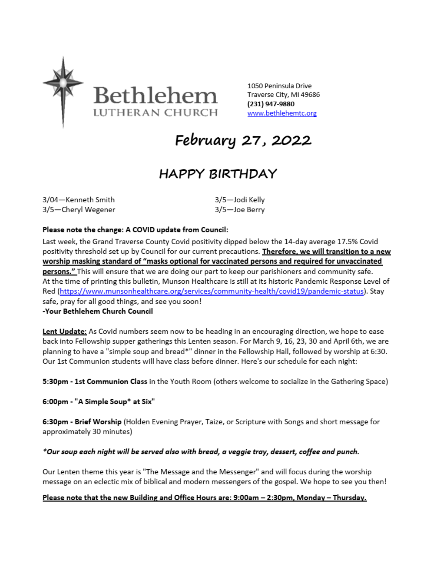

1050 Peninsula Drive Traverse City, MI 49686 (231) 947-9880 www.bethlehemtc.org

# February 27, 2022

# **HAPPY BIRTHDAY**

| 3/04—Kenneth Smith | 3/5—Jodi Kelly |
|--------------------|----------------|
| 3/5—Cheryl Wegener | 3/5—Joe Berry  |

#### Please note the change: A COVID update from Council:

Last week, the Grand Traverse County Covid positivity dipped below the 14-day average 17.5% Covid positivity threshold set up by Council for our current precautions. Therefore, we will transition to a new worship masking standard of "masks optional for vaccinated persons and required for unvaccinated persons." This will ensure that we are doing our part to keep our parishioners and community safe. At the time of printing this bulletin, Munson Healthcare is still at its historic Pandemic Response Level of Red (https://www.munsonhealthcare.org/services/community-health/covid19/pandemic-status). Stay safe, pray for all good things, and see you soon!

#### -Your Bethlehem Church Council

Lent Update: As Covid numbers seem now to be heading in an encouraging direction, we hope to ease back into Fellowship supper gatherings this Lenten season. For March 9, 16, 23, 30 and April 6th, we are planning to have a "simple soup and bread\*" dinner in the Fellowship Hall, followed by worship at 6:30. Our 1st Communion students will have class before dinner. Here's our schedule for each night:

5:30pm - 1st Communion Class in the Youth Room (others welcome to socialize in the Gathering Space)

#### 6:00pm - "A Simple Soup\* at Six"

6:30pm - Brief Worship (Holden Evening Prayer, Taize, or Scripture with Songs and short message for approximately 30 minutes)

#### \*Our soup each night will be served also with bread, a veggie tray, dessert, coffee and punch.

Our Lenten theme this year is "The Message and the Messenger" and will focus during the worship message on an eclectic mix of biblical and modern messengers of the gospel. We hope to see you then!

#### Please note that the new Building and Office Hours are: 9:00am - 2:30pm, Monday - Thursday.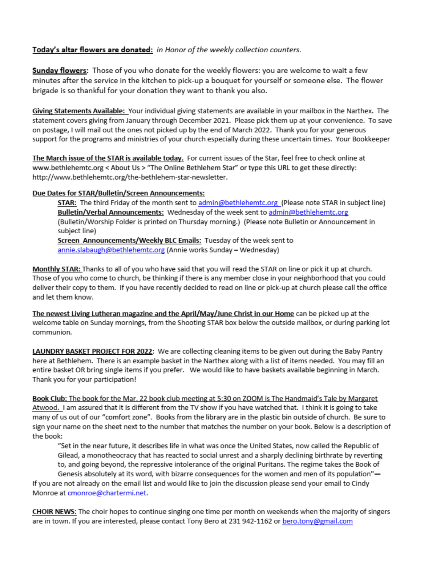#### Today's altar flowers are donated: in Honor of the weekly collection counters.

Sunday flowers: Those of you who donate for the weekly flowers: you are welcome to wait a few minutes after the service in the kitchen to pick-up a bouguet for yourself or someone else. The flower brigade is so thankful for your donation they want to thank you also.

Giving Statements Available: Your individual giving statements are available in your mailbox in the Narthex. The statement covers giving from January through December 2021. Please pick them up at your convenience. To save on postage, I will mail out the ones not picked up by the end of March 2022. Thank you for your generous support for the programs and ministries of your church especially during these uncertain times. Your Bookkeeper

The March issue of the STAR is available today. For current issues of the Star, feel free to check online at www.bethlehemtc.org < About Us > "The Online Bethlehem Star" or type this URL to get these directly: http://www.bethlehemtc.org/the-bethlehem-star-newsletter.

#### Due Dates for STAR/Bulletin/Screen Announcements:

STAR: The third Friday of the month sent to admin@bethlehemtc.org (Please note STAR in subject line) Bulletin/Verbal Announcements: Wednesday of the week sent to admin@bethlehemtc.org (Bulletin/Worship Folder is printed on Thursday morning.) (Please note Bulletin or Announcement in subject line)

Screen Announcements/Weekly BLC Emails: Tuesday of the week sent to annie.slabaugh@bethlehemtc.org (Annie works Sunday - Wednesday)

Monthly STAR: Thanks to all of you who have said that you will read the STAR on line or pick it up at church. Those of you who come to church, be thinking if there is any member close in your neighborhood that you could deliver their copy to them. If you have recently decided to read on line or pick-up at church please call the office and let them know.

The newest Living Lutheran magazine and the April/May/June Christ in our Home can be picked up at the welcome table on Sunday mornings, from the Shooting STAR box below the outside mailbox, or during parking lot communion.

LAUNDRY BASKET PROJECT FOR 2022: We are collecting cleaning items to be given out during the Baby Pantry here at Bethlehem. There is an example basket in the Narthex along with a list of items needed. You may fill an entire basket OR bring single items if you prefer. We would like to have baskets available beginning in March. Thank you for your participation!

Book Club: The book for the Mar. 22 book club meeting at 5:30 on ZOOM is The Handmaid's Tale by Margaret Atwood. I am assured that it is different from the TV show if you have watched that. I think it is going to take many of us out of our "comfort zone". Books from the library are in the plastic bin outside of church. Be sure to sign your name on the sheet next to the number that matches the number on your book. Below is a description of the book:

"Set in the near future, it describes life in what was once the United States, now called the Republic of Gilead, a monotheocracy that has reacted to social unrest and a sharply declining birthrate by reverting to, and going beyond, the repressive intolerance of the original Puritans. The regime takes the Book of Genesis absolutely at its word, with bizarre consequences for the women and men of its population"-

If you are not already on the email list and would like to join the discussion please send your email to Cindy Monroe at cmonroe@chartermi.net.

CHOIR NEWS: The choir hopes to continue singing one time per month on weekends when the majority of singers are in town. If you are interested, please contact Tony Bero at 231 942-1162 or bero.tony@gmail.com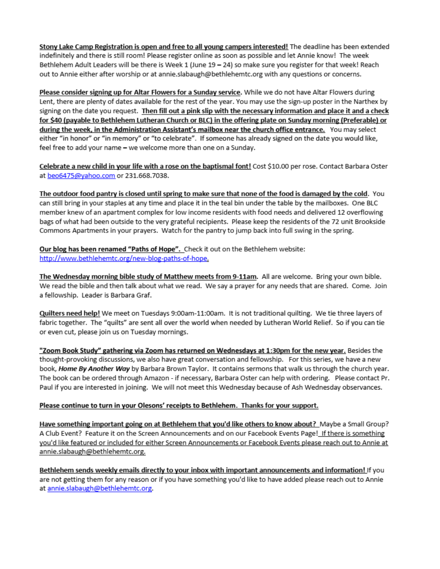Stony Lake Camp Registration is open and free to all young campers interested! The deadline has been extended indefinitely and there is still room! Please register online as soon as possible and let Annie know! The week Bethlehem Adult Leaders will be there is Week 1 (June 19 - 24) so make sure you register for that week! Reach out to Annie either after worship or at annie.slabaugh@bethlehemtc.org with any questions or concerns.

Please consider signing up for Altar Flowers for a Sunday service. While we do not have Altar Flowers during Lent, there are plenty of dates available for the rest of the year. You may use the sign-up poster in the Narthex by signing on the date you request. Then fill out a pink slip with the necessary information and place it and a check for \$40 (payable to Bethlehem Lutheran Church or BLC) in the offering plate on Sunday morning (Preferable) or during the week, in the Administration Assistant's mailbox near the church office entrance. You may select either "in honor" or "in memory" or "to celebrate". If someone has already signed on the date you would like, feel free to add your name - we welcome more than one on a Sunday.

Celebrate a new child in your life with a rose on the baptismal font! Cost \$10.00 per rose. Contact Barbara Oster at beo6475@yahoo.com or 231.668.7038.

The outdoor food pantry is closed until spring to make sure that none of the food is damaged by the cold. You can still bring in your staples at any time and place it in the teal bin under the table by the mailboxes. One BLC member knew of an apartment complex for low income residents with food needs and delivered 12 overflowing bags of what had been outside to the very grateful recipients. Please keep the residents of the 72 unit Brookside Commons Apartments in your prayers. Watch for the pantry to jump back into full swing in the spring.

Our blog has been renamed "Paths of Hope". Check it out on the Bethlehem website: http://www.bethlehemtc.org/new-blog-paths-of-hope.

The Wednesday morning bible study of Matthew meets from 9-11am. All are welcome. Bring your own bible. We read the bible and then talk about what we read. We say a prayer for any needs that are shared. Come. Join a fellowship. Leader is Barbara Graf.

Quilters need help! We meet on Tuesdays 9:00am-11:00am. It is not traditional quilting. We tie three layers of fabric together. The "quilts" are sent all over the world when needed by Lutheran World Relief. So if you can tie or even cut, please join us on Tuesday mornings.

"Zoom Book Study" gathering via Zoom has returned on Wednesdays at 1:30pm for the new year. Besides the thought-provoking discussions, we also have great conversation and fellowship. For this series, we have a new book, Home By Another Way by Barbara Brown Taylor. It contains sermons that walk us through the church year. The book can be ordered through Amazon - if necessary, Barbara Oster can help with ordering. Please contact Pr. Paul if you are interested in joining. We will not meet this Wednesday because of Ash Wednesday observances.

#### Please continue to turn in your Olesons' receipts to Bethlehem. Thanks for your support.

Have something important going on at Bethlehem that you'd like others to know about? Maybe a Small Group? A Club Event? Feature it on the Screen Announcements and on our Facebook Events Page! If there is something you'd like featured or included for either Screen Announcements or Facebook Events please reach out to Annie at annie.slabaugh@bethlehemtc.org.

Bethlehem sends weekly emails directly to your inbox with important announcements and information! If you are not getting them for any reason or if you have something you'd like to have added please reach out to Annie at annie.slabaugh@bethlehemtc.org.